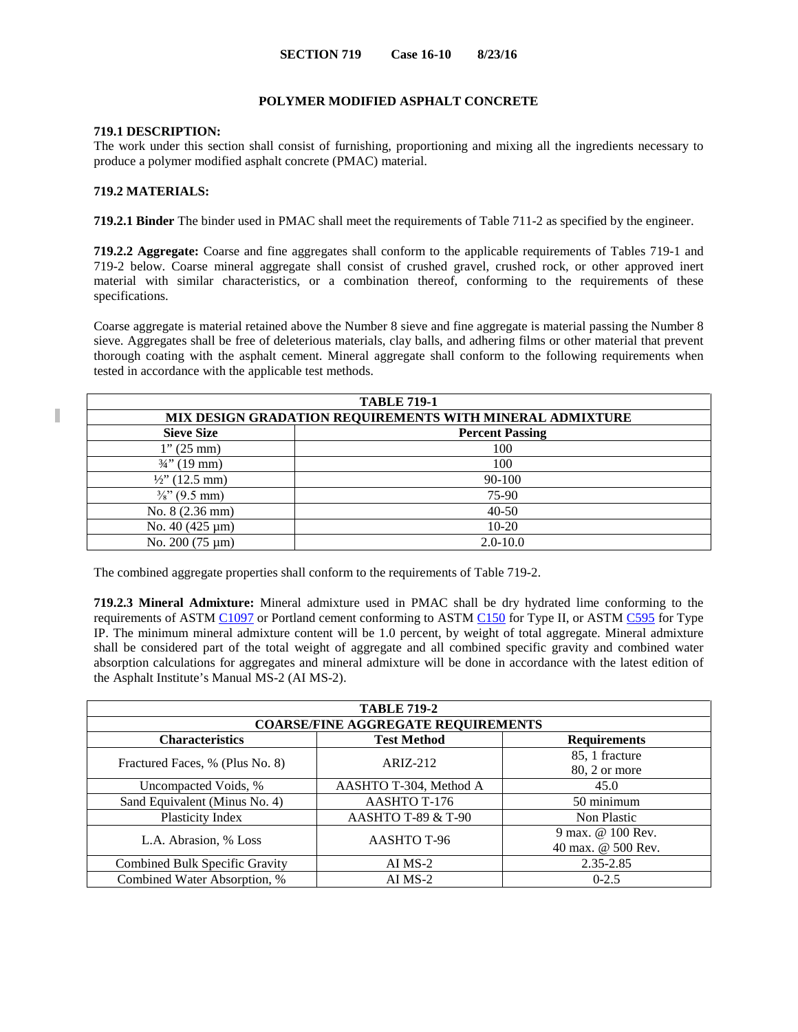# **POLYMER MODIFIED ASPHALT CONCRETE**

#### **719.1 DESCRIPTION:**

The work under this section shall consist of furnishing, proportioning and mixing all the ingredients necessary to produce a polymer modified asphalt concrete (PMAC) material.

### **719.2 MATERIALS:**

**719.2.1 Binder** The binder used in PMAC shall meet the requirements of Table 711-2 as specified by the engineer.

**719.2.2 Aggregate:** Coarse and fine aggregates shall conform to the applicable requirements of Tables 719-1 and 719-2 below. Coarse mineral aggregate shall consist of crushed gravel, crushed rock, or other approved inert material with similar characteristics, or a combination thereof, conforming to the requirements of these specifications.

Coarse aggregate is material retained above the Number 8 sieve and fine aggregate is material passing the Number 8 sieve. Aggregates shall be free of deleterious materials, clay balls, and adhering films or other material that prevent thorough coating with the asphalt cement. Mineral aggregate shall conform to the following requirements when tested in accordance with the applicable test methods.

| <b>TABLE 719-1</b>                                       |              |  |
|----------------------------------------------------------|--------------|--|
| MIX DESIGN GRADATION REQUIREMENTS WITH MINERAL ADMIXTURE |              |  |
| <b>Sieve Size</b><br><b>Percent Passing</b>              |              |  |
| $1''(25 \text{ mm})$                                     | 100          |  |
| $\frac{3}{4}$ " (19 mm)                                  | 100          |  |
| $\frac{1}{2}$ (12.5 mm)                                  | 90-100       |  |
| $\frac{3}{8}$ " (9.5 mm)                                 | 75-90        |  |
| No. 8 (2.36 mm)                                          | $40 - 50$    |  |
| No. 40 (425 µm)                                          | $10-20$      |  |
| No. $200(75 \,\mathrm{\upmu m})$                         | $2.0 - 10.0$ |  |

The combined aggregate properties shall conform to the requirements of Table 719-2.

**719.2.3 Mineral Admixture:** Mineral admixture used in PMAC shall be dry hydrated lime conforming to the requirements of ASTM [C1097](http://www.astm.org/cgi-bin/resolver.cgi?C1097) or Portland cement conforming to ASTM [C150](http://www.astm.org/cgi-bin/resolver.cgi?C150) for Type II, or ASTM [C595](http://www.astm.org/cgi-bin/resolver.cgi?C595) for Type IP. The minimum mineral admixture content will be 1.0 percent, by weight of total aggregate. Mineral admixture shall be considered part of the total weight of aggregate and all combined specific gravity and combined water absorption calculations for aggregates and mineral admixture will be done in accordance with the latest edition of the Asphalt Institute's Manual MS-2 (AI MS-2).

| <b>TABLE 719-2</b>                        |                        |                                         |  |
|-------------------------------------------|------------------------|-----------------------------------------|--|
| <b>COARSE/FINE AGGREGATE REQUIREMENTS</b> |                        |                                         |  |
| <b>Characteristics</b>                    | <b>Test Method</b>     | <b>Requirements</b>                     |  |
| Fractured Faces, % (Plus No. 8)           | $ARIZ-212$             | 85, 1 fracture<br>80, 2 or more         |  |
| Uncompacted Voids, %                      | AASHTO T-304, Method A | 45.0                                    |  |
| Sand Equivalent (Minus No. 4)             | AASHTO T-176           | 50 minimum                              |  |
| Plasticity Index                          | AASHTO T-89 & T-90     | Non Plastic                             |  |
| L.A. Abrasion, % Loss                     | AASHTO T-96            | 9 max. @ 100 Rev.<br>40 max. @ 500 Rev. |  |
| Combined Bulk Specific Gravity            | AI MS-2                | 2.35-2.85                               |  |
| Combined Water Absorption, %              | $AI$ MS-2              | $0-2.5$                                 |  |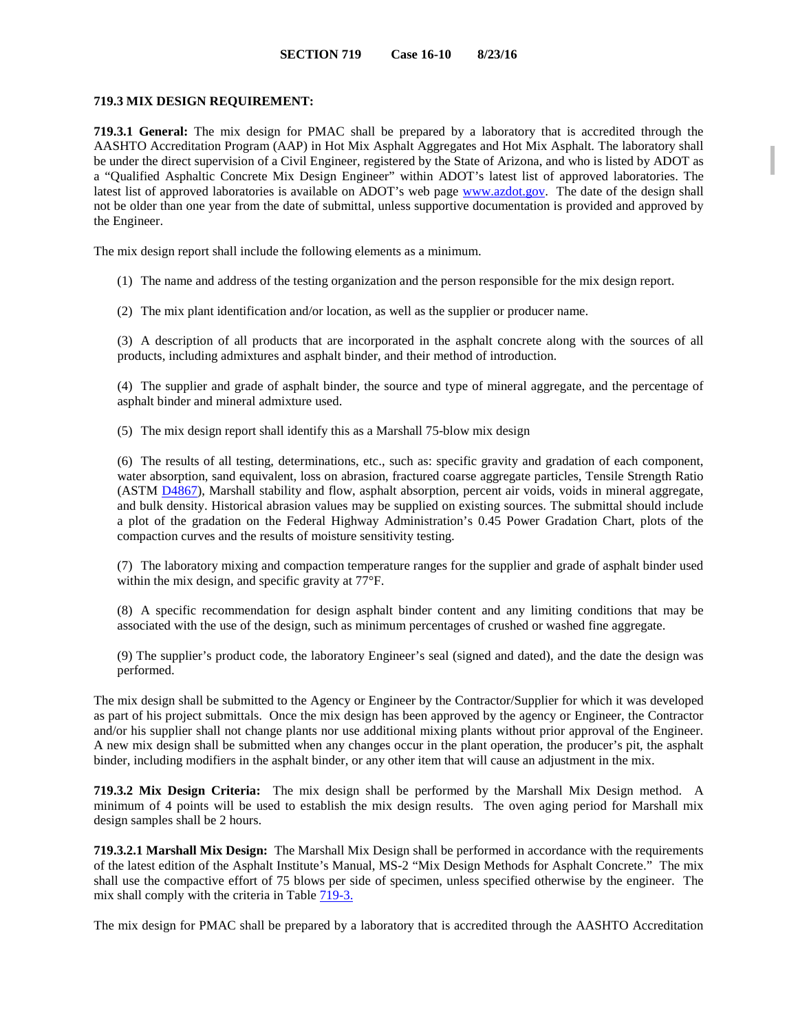### **719.3 MIX DESIGN REQUIREMENT:**

**719.3.1 General:** The mix design for PMAC shall be prepared by a laboratory that is accredited through the AASHTO Accreditation Program (AAP) in Hot Mix Asphalt Aggregates and Hot Mix Asphalt. The laboratory shall be under the direct supervision of a Civil Engineer, registered by the State of Arizona, and who is listed by ADOT as a "Qualified Asphaltic Concrete Mix Design Engineer" within ADOT's latest list of approved laboratories. The latest list of approved laboratories is available on ADOT's web page [www.azdot.gov.](http://www.azdot.gov/) The date of the design shall not be older than one year from the date of submittal, unless supportive documentation is provided and approved by the Engineer.

The mix design report shall include the following elements as a minimum.

- (1) The name and address of the testing organization and the person responsible for the mix design report.
- (2) The mix plant identification and/or location, as well as the supplier or producer name.

(3) A description of all products that are incorporated in the asphalt concrete along with the sources of all products, including admixtures and asphalt binder, and their method of introduction.

(4) The supplier and grade of asphalt binder, the source and type of mineral aggregate, and the percentage of asphalt binder and mineral admixture used.

(5) The mix design report shall identify this as a Marshall 75-blow mix design

(6) The results of all testing, determinations, etc., such as: specific gravity and gradation of each component, water absorption, sand equivalent, loss on abrasion, fractured coarse aggregate particles, Tensile Strength Ratio (ASTM [D4867\)](http://www.astm.org/cgi-bin/resolver.cgi?D4867), Marshall stability and flow, asphalt absorption, percent air voids, voids in mineral aggregate, and bulk density. Historical abrasion values may be supplied on existing sources. The submittal should include a plot of the gradation on the Federal Highway Administration's 0.45 Power Gradation Chart, plots of the compaction curves and the results of moisture sensitivity testing.

(7) The laboratory mixing and compaction temperature ranges for the supplier and grade of asphalt binder used within the mix design, and specific gravity at 77°F.

(8) A specific recommendation for design asphalt binder content and any limiting conditions that may be associated with the use of the design, such as minimum percentages of crushed or washed fine aggregate.

(9) The supplier's product code, the laboratory Engineer's seal (signed and dated), and the date the design was performed.

The mix design shall be submitted to the Agency or Engineer by the Contractor/Supplier for which it was developed as part of his project submittals. Once the mix design has been approved by the agency or Engineer, the Contractor and/or his supplier shall not change plants nor use additional mixing plants without prior approval of the Engineer. A new mix design shall be submitted when any changes occur in the plant operation, the producer's pit, the asphalt binder, including modifiers in the asphalt binder, or any other item that will cause an adjustment in the mix.

**719.3.2 Mix Design Criteria:** The mix design shall be performed by the Marshall Mix Design method. A minimum of 4 points will be used to establish the mix design results. The oven aging period for Marshall mix design samples shall be 2 hours.

**719.3.2.1 Marshall Mix Design:** The Marshall Mix Design shall be performed in accordance with the requirements of the latest edition of the Asphalt Institute's Manual, MS-2 "Mix Design Methods for Asphalt Concrete." The mix shall use the compactive effort of 75 blows per side of specimen, unless specified otherwise by the engineer. The mix shall comply with the criteria in Table 719-3.

The mix design for PMAC shall be prepared by a laboratory that is accredited through the AASHTO Accreditation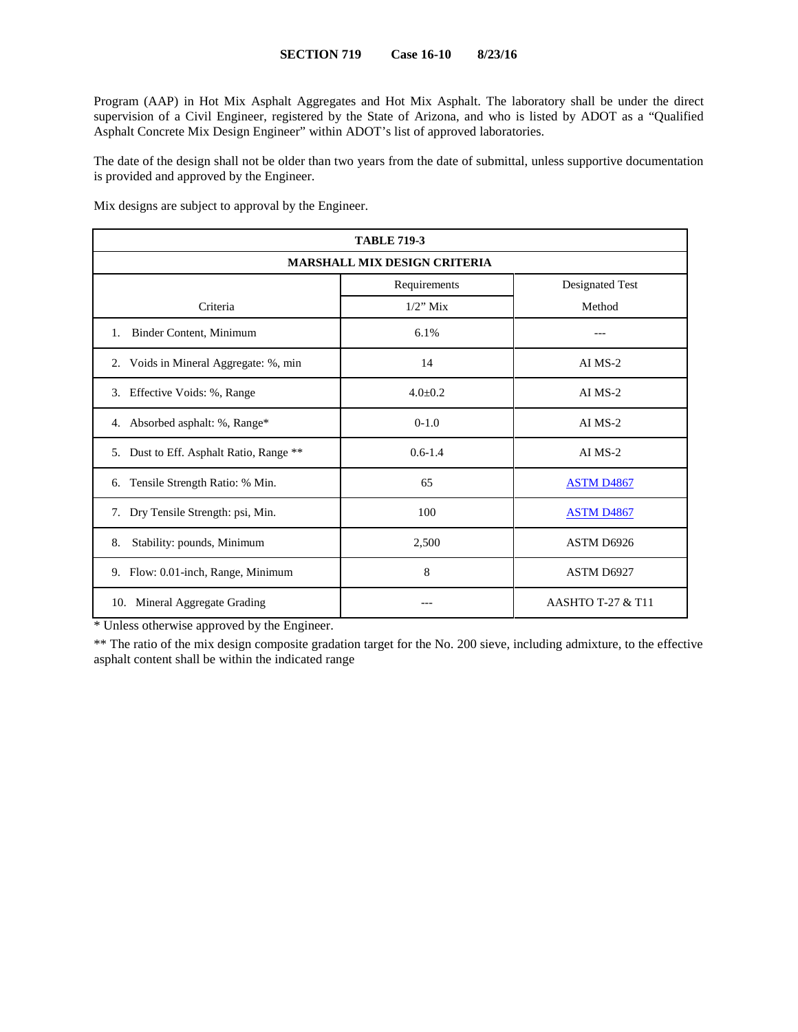Program (AAP) in Hot Mix Asphalt Aggregates and Hot Mix Asphalt. The laboratory shall be under the direct supervision of a Civil Engineer, registered by the State of Arizona, and who is listed by ADOT as a "Qualified Asphalt Concrete Mix Design Engineer" within ADOT's list of approved laboratories.

The date of the design shall not be older than two years from the date of submittal, unless supportive documentation is provided and approved by the Engineer.

Mix designs are subject to approval by the Engineer.

| <b>TABLE 719-3</b>                      |               |                              |  |
|-----------------------------------------|---------------|------------------------------|--|
| <b>MARSHALL MIX DESIGN CRITERIA</b>     |               |                              |  |
|                                         | Requirements  | Designated Test              |  |
| Criteria                                | $1/2$ " Mix   | Method                       |  |
| Binder Content, Minimum<br>1.           | 6.1%          |                              |  |
| 2. Voids in Mineral Aggregate: %, min   | 14            | $AI$ MS-2                    |  |
| 3. Effective Voids: %, Range            | $4.0 \pm 0.2$ | $AI$ MS-2                    |  |
| 4. Absorbed asphalt: %, Range*          | $0-1.0$       | $AI$ MS-2                    |  |
| 5. Dust to Eff. Asphalt Ratio, Range ** | $0.6 - 1.4$   | $AI$ MS-2                    |  |
| Tensile Strength Ratio: % Min.<br>6.    | 65            | <b>ASTM D4867</b>            |  |
| Dry Tensile Strength: psi, Min.<br>7.   | 100           | <b>ASTM D4867</b>            |  |
| Stability: pounds, Minimum<br>8.        | 2,500         | ASTM D6926                   |  |
| 9. Flow: 0.01-inch, Range, Minimum      | 8             | ASTM D6927                   |  |
| Mineral Aggregate Grading<br>10.        |               | <b>AASHTO T-27 &amp; T11</b> |  |

\* Unless otherwise approved by the Engineer.

\*\* The ratio of the mix design composite gradation target for the No. 200 sieve, including admixture, to the effective asphalt content shall be within the indicated range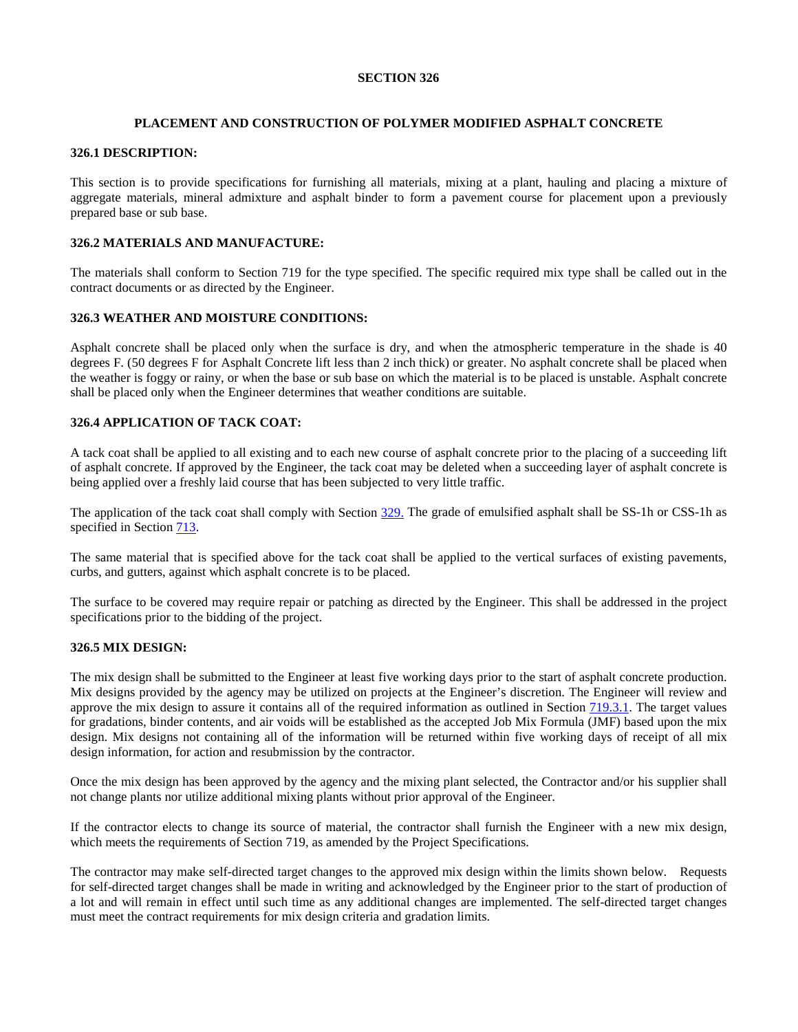# **PLACEMENT AND CONSTRUCTION OF POLYMER MODIFIED ASPHALT CONCRETE**

# **326.1 DESCRIPTION:**

This section is to provide specifications for furnishing all materials, mixing at a plant, hauling and placing a mixture of aggregate materials, mineral admixture and asphalt binder to form a pavement course for placement upon a previously prepared base or sub base.

## **326.2 MATERIALS AND MANUFACTURE:**

The materials shall conform to Section 719 for the type specified. The specific required mix type shall be called out in the contract documents or as directed by the Engineer.

### **326.3 WEATHER AND MOISTURE CONDITIONS:**

Asphalt concrete shall be placed only when the surface is dry, and when the atmospheric temperature in the shade is 40 degrees F. (50 degrees F for Asphalt Concrete lift less than 2 inch thick) or greater. No asphalt concrete shall be placed when the weather is foggy or rainy, or when the base or sub base on which the material is to be placed is unstable. Asphalt concrete shall be placed only when the Engineer determines that weather conditions are suitable.

# **326.4 APPLICATION OF TACK COAT:**

A tack coat shall be applied to all existing and to each new course of asphalt concrete prior to the placing of a succeeding lift of asphalt concrete. If approved by the Engineer, the tack coat may be deleted when a succeeding layer of asphalt concrete is being applied over a freshly laid course that has been subjected to very little traffic.

The application of the tack coat shall comply with Section 329. The grade of emulsified asphalt shall be SS-1h or CSS-1h as specified in Section  $713$ .

The same material that is specified above for the tack coat shall be applied to the vertical surfaces of existing pavements, curbs, and gutters, against which asphalt concrete is to be placed.

The surface to be covered may require repair or patching as directed by the Engineer. This shall be addressed in the project specifications prior to the bidding of the project.

### **326.5 MIX DESIGN:**

The mix design shall be submitted to the Engineer at least five working days prior to the start of asphalt concrete production. Mix designs provided by the agency may be utilized on projects at the Engineer's discretion. The Engineer will review and approve the mix design to assure it contains all of the required information as outlined in Section 719.3.1. The target values for gradations, binder contents, and air voids will be established as the accepted Job Mix Formula (JMF) based upon the mix design. Mix designs not containing all of the information will be returned within five working days of receipt of all mix design information, for action and resubmission by the contractor.

Once the mix design has been approved by the agency and the mixing plant selected, the Contractor and/or his supplier shall not change plants nor utilize additional mixing plants without prior approval of the Engineer.

If the contractor elects to change its source of material, the contractor shall furnish the Engineer with a new mix design, which meets the requirements of Section 719, as amended by the Project Specifications.

The contractor may make self-directed target changes to the approved mix design within the limits shown below. Requests for self-directed target changes shall be made in writing and acknowledged by the Engineer prior to the start of production of a lot and will remain in effect until such time as any additional changes are implemented. The self-directed target changes must meet the contract requirements for mix design criteria and gradation limits.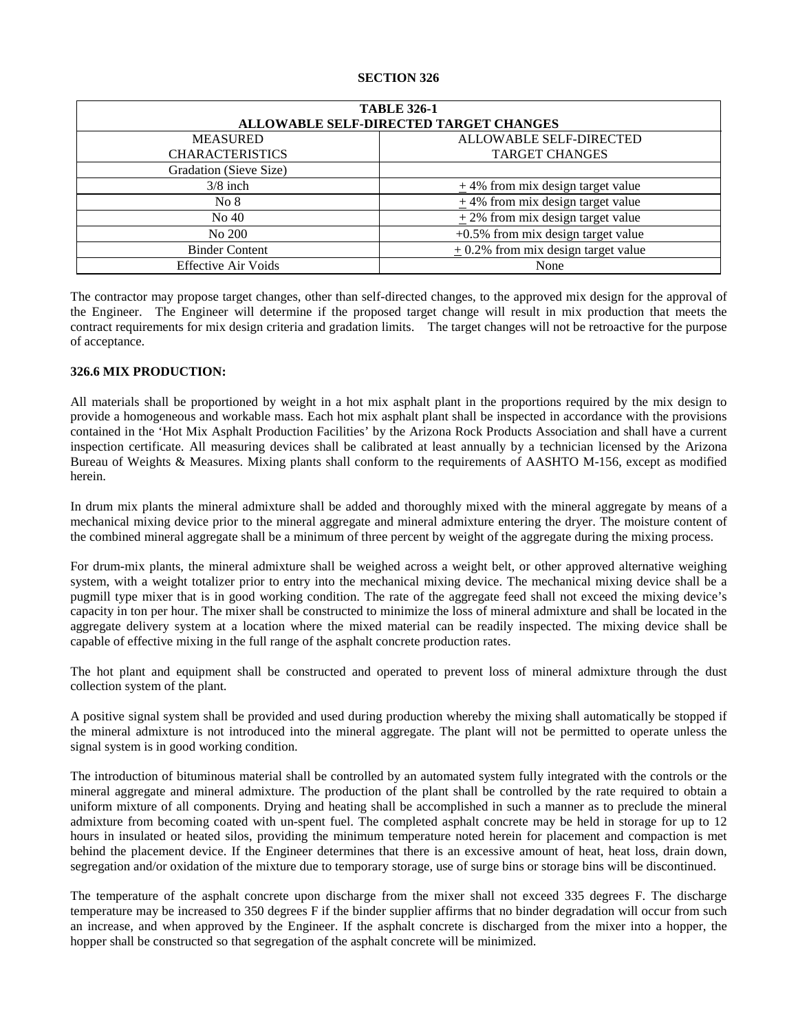| <b>TABLE 326-1</b>                     |                                       |  |
|----------------------------------------|---------------------------------------|--|
| ALLOWABLE SELF-DIRECTED TARGET CHANGES |                                       |  |
| <b>MEASURED</b>                        | ALLOWABLE SELF-DIRECTED               |  |
| <b>CHARACTERISTICS</b>                 | <b>TARGET CHANGES</b>                 |  |
| Gradation (Sieve Size)                 |                                       |  |
| $3/8$ inch                             | $\pm$ 4% from mix design target value |  |
| No 8                                   | $+4\%$ from mix design target value   |  |
| No 40                                  | $\pm$ 2% from mix design target value |  |
| No 200                                 | $+0.5\%$ from mix design target value |  |
| <b>Binder Content</b>                  | $+0.2\%$ from mix design target value |  |
| <b>Effective Air Voids</b>             | None                                  |  |

The contractor may propose target changes, other than self-directed changes, to the approved mix design for the approval of the Engineer. The Engineer will determine if the proposed target change will result in mix production that meets the contract requirements for mix design criteria and gradation limits. The target changes will not be retroactive for the purpose of acceptance.

### **326.6 MIX PRODUCTION:**

All materials shall be proportioned by weight in a hot mix asphalt plant in the proportions required by the mix design to provide a homogeneous and workable mass. Each hot mix asphalt plant shall be inspected in accordance with the provisions contained in the 'Hot Mix Asphalt Production Facilities' by the Arizona Rock Products Association and shall have a current inspection certificate. All measuring devices shall be calibrated at least annually by a technician licensed by the Arizona Bureau of Weights & Measures. Mixing plants shall conform to the requirements of AASHTO M-156, except as modified herein.

In drum mix plants the mineral admixture shall be added and thoroughly mixed with the mineral aggregate by means of a mechanical mixing device prior to the mineral aggregate and mineral admixture entering the dryer. The moisture content of the combined mineral aggregate shall be a minimum of three percent by weight of the aggregate during the mixing process.

For drum-mix plants, the mineral admixture shall be weighed across a weight belt, or other approved alternative weighing system, with a weight totalizer prior to entry into the mechanical mixing device. The mechanical mixing device shall be a pugmill type mixer that is in good working condition. The rate of the aggregate feed shall not exceed the mixing device's capacity in ton per hour. The mixer shall be constructed to minimize the loss of mineral admixture and shall be located in the aggregate delivery system at a location where the mixed material can be readily inspected. The mixing device shall be capable of effective mixing in the full range of the asphalt concrete production rates.

The hot plant and equipment shall be constructed and operated to prevent loss of mineral admixture through the dust collection system of the plant.

A positive signal system shall be provided and used during production whereby the mixing shall automatically be stopped if the mineral admixture is not introduced into the mineral aggregate. The plant will not be permitted to operate unless the signal system is in good working condition.

The introduction of bituminous material shall be controlled by an automated system fully integrated with the controls or the mineral aggregate and mineral admixture. The production of the plant shall be controlled by the rate required to obtain a uniform mixture of all components. Drying and heating shall be accomplished in such a manner as to preclude the mineral admixture from becoming coated with un-spent fuel. The completed asphalt concrete may be held in storage for up to 12 hours in insulated or heated silos, providing the minimum temperature noted herein for placement and compaction is met behind the placement device. If the Engineer determines that there is an excessive amount of heat, heat loss, drain down, segregation and/or oxidation of the mixture due to temporary storage, use of surge bins or storage bins will be discontinued.

The temperature of the asphalt concrete upon discharge from the mixer shall not exceed 335 degrees F. The discharge temperature may be increased to 350 degrees F if the binder supplier affirms that no binder degradation will occur from such an increase, and when approved by the Engineer. If the asphalt concrete is discharged from the mixer into a hopper, the hopper shall be constructed so that segregation of the asphalt concrete will be minimized.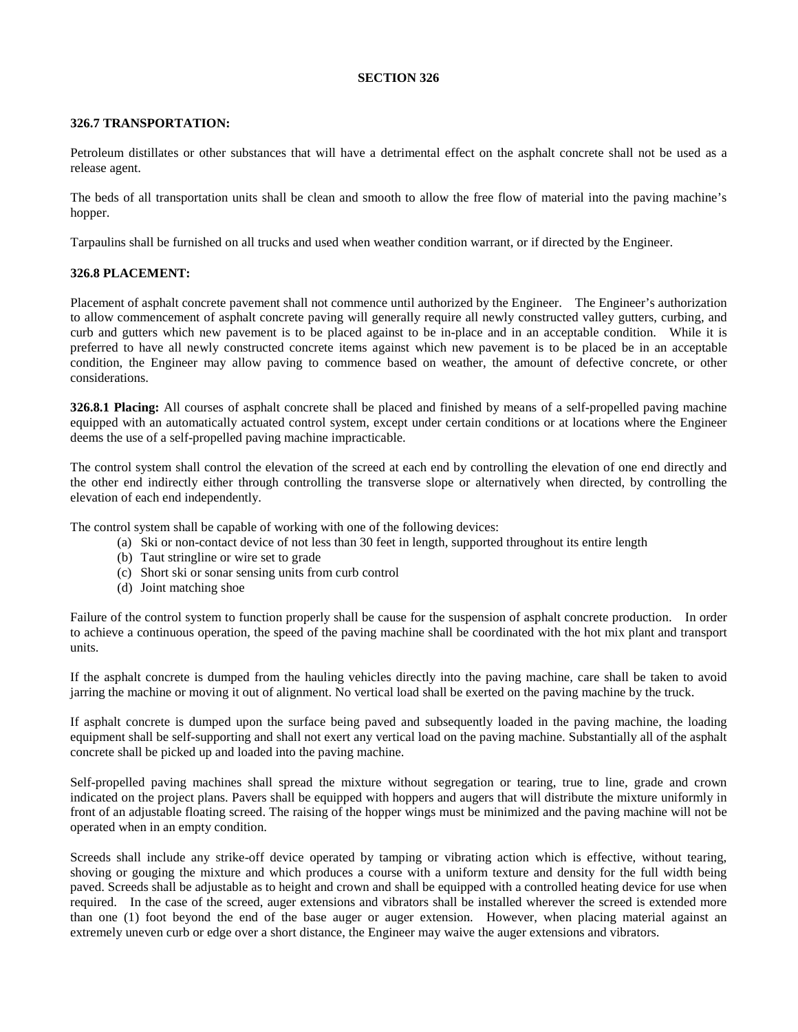### **326.7 TRANSPORTATION:**

Petroleum distillates or other substances that will have a detrimental effect on the asphalt concrete shall not be used as a release agent.

The beds of all transportation units shall be clean and smooth to allow the free flow of material into the paving machine's hopper.

Tarpaulins shall be furnished on all trucks and used when weather condition warrant, or if directed by the Engineer.

### **326.8 PLACEMENT:**

Placement of asphalt concrete pavement shall not commence until authorized by the Engineer. The Engineer's authorization to allow commencement of asphalt concrete paving will generally require all newly constructed valley gutters, curbing, and curb and gutters which new pavement is to be placed against to be in-place and in an acceptable condition. While it is preferred to have all newly constructed concrete items against which new pavement is to be placed be in an acceptable condition, the Engineer may allow paving to commence based on weather, the amount of defective concrete, or other considerations.

<span id="page-5-0"></span>**326.8.1 Placing:** All courses of asphalt concrete shall be placed and finished by means of a self-propelled paving machine equipped with an automatically actuated control system, except under certain conditions or at locations where the Engineer deems the use of a self-propelled paving machine impracticable.

The control system shall control the elevation of the screed at each end by controlling the elevation of one end directly and the other end indirectly either through controlling the transverse slope or alternatively when directed, by controlling the elevation of each end independently.

The control system shall be capable of working with one of the following devices:

- (a) Ski or non-contact device of not less than 30 feet in length, supported throughout its entire length
- (b) Taut stringline or wire set to grade
- (c) Short ski or sonar sensing units from curb control
- (d) Joint matching shoe

Failure of the control system to function properly shall be cause for the suspension of asphalt concrete production. In order to achieve a continuous operation, the speed of the paving machine shall be coordinated with the hot mix plant and transport units.

If the asphalt concrete is dumped from the hauling vehicles directly into the paving machine, care shall be taken to avoid jarring the machine or moving it out of alignment. No vertical load shall be exerted on the paving machine by the truck.

If asphalt concrete is dumped upon the surface being paved and subsequently loaded in the paving machine, the loading equipment shall be self-supporting and shall not exert any vertical load on the paving machine. Substantially all of the asphalt concrete shall be picked up and loaded into the paving machine.

Self-propelled paving machines shall spread the mixture without segregation or tearing, true to line, grade and crown indicated on the project plans. Pavers shall be equipped with hoppers and augers that will distribute the mixture uniformly in front of an adjustable floating screed. The raising of the hopper wings must be minimized and the paving machine will not be operated when in an empty condition.

Screeds shall include any strike-off device operated by tamping or vibrating action which is effective, without tearing, shoving or gouging the mixture and which produces a course with a uniform texture and density for the full width being paved. Screeds shall be adjustable as to height and crown and shall be equipped with a controlled heating device for use when required. In the case of the screed, auger extensions and vibrators shall be installed wherever the screed is extended more than one (1) foot beyond the end of the base auger or auger extension. However, when placing material against an extremely uneven curb or edge over a short distance, the Engineer may waive the auger extensions and vibrators.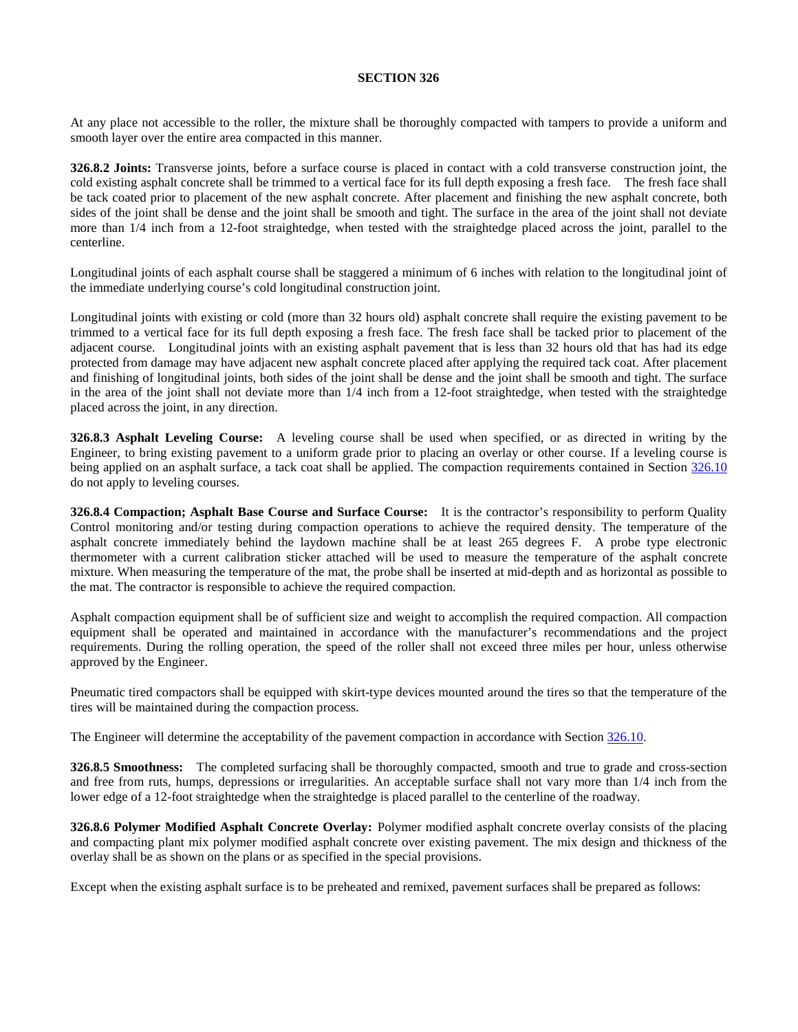At any place not accessible to the roller, the mixture shall be thoroughly compacted with tampers to provide a uniform and smooth layer over the entire area compacted in this manner.

**326.8.2 Joints:** Transverse joints, before a surface course is placed in contact with a cold transverse construction joint, the cold existing asphalt concrete shall be trimmed to a vertical face for its full depth exposing a fresh face. The fresh face shall be tack coated prior to placement of the new asphalt concrete. After placement and finishing the new asphalt concrete, both sides of the joint shall be dense and the joint shall be smooth and tight. The surface in the area of the joint shall not deviate more than 1/4 inch from a 12-foot straightedge, when tested with the straightedge placed across the joint, parallel to the centerline.

Longitudinal joints of each asphalt course shall be staggered a minimum of 6 inches with relation to the longitudinal joint of the immediate underlying course's cold longitudinal construction joint.

Longitudinal joints with existing or cold (more than 32 hours old) asphalt concrete shall require the existing pavement to be trimmed to a vertical face for its full depth exposing a fresh face. The fresh face shall be tacked prior to placement of the adjacent course. Longitudinal joints with an existing asphalt pavement that is less than 32 hours old that has had its edge protected from damage may have adjacent new asphalt concrete placed after applying the required tack coat. After placement and finishing of longitudinal joints, both sides of the joint shall be dense and the joint shall be smooth and tight. The surface in the area of the joint shall not deviate more than 1/4 inch from a 12-foot straightedge, when tested with the straightedge placed across the joint, in any direction.

**326.8.3 Asphalt Leveling Course:** A leveling course shall be used when specified, or as directed in writing by the Engineer, to bring existing pavement to a uniform grade prior to placing an overlay or other course. If a leveling course is being applied on an asphalt surface, a tack coat shall be applied. The compaction requirements contained in Section [326.10](#page-8-0) do not apply to leveling courses.

<span id="page-6-0"></span>**326.8.4 Compaction; Asphalt Base Course and Surface Course:** It is the contractor's responsibility to perform Quality Control monitoring and/or testing during compaction operations to achieve the required density. The temperature of the asphalt concrete immediately behind the laydown machine shall be at least 265 degrees F. A probe type electronic thermometer with a current calibration sticker attached will be used to measure the temperature of the asphalt concrete mixture. When measuring the temperature of the mat, the probe shall be inserted at mid-depth and as horizontal as possible to the mat. The contractor is responsible to achieve the required compaction.

Asphalt compaction equipment shall be of sufficient size and weight to accomplish the required compaction. All compaction equipment shall be operated and maintained in accordance with the manufacturer's recommendations and the project requirements. During the rolling operation, the speed of the roller shall not exceed three miles per hour, unless otherwise approved by the Engineer.

Pneumatic tired compactors shall be equipped with skirt-type devices mounted around the tires so that the temperature of the tires will be maintained during the compaction process.

The Engineer will determine the acceptability of the pavement compaction in accordance with Section [326.10.](#page-8-0)

<span id="page-6-1"></span>**326.8.5 Smoothness:** The completed surfacing shall be thoroughly compacted, smooth and true to grade and cross-section and free from ruts, humps, depressions or irregularities. An acceptable surface shall not vary more than 1/4 inch from the lower edge of a 12-foot straightedge when the straightedge is placed parallel to the centerline of the roadway.

**326.8.6 Polymer Modified Asphalt Concrete Overlay:** Polymer modified asphalt concrete overlay consists of the placing and compacting plant mix polymer modified asphalt concrete over existing pavement. The mix design and thickness of the overlay shall be as shown on the plans or as specified in the special provisions.

Except when the existing asphalt surface is to be preheated and remixed, pavement surfaces shall be prepared as follows: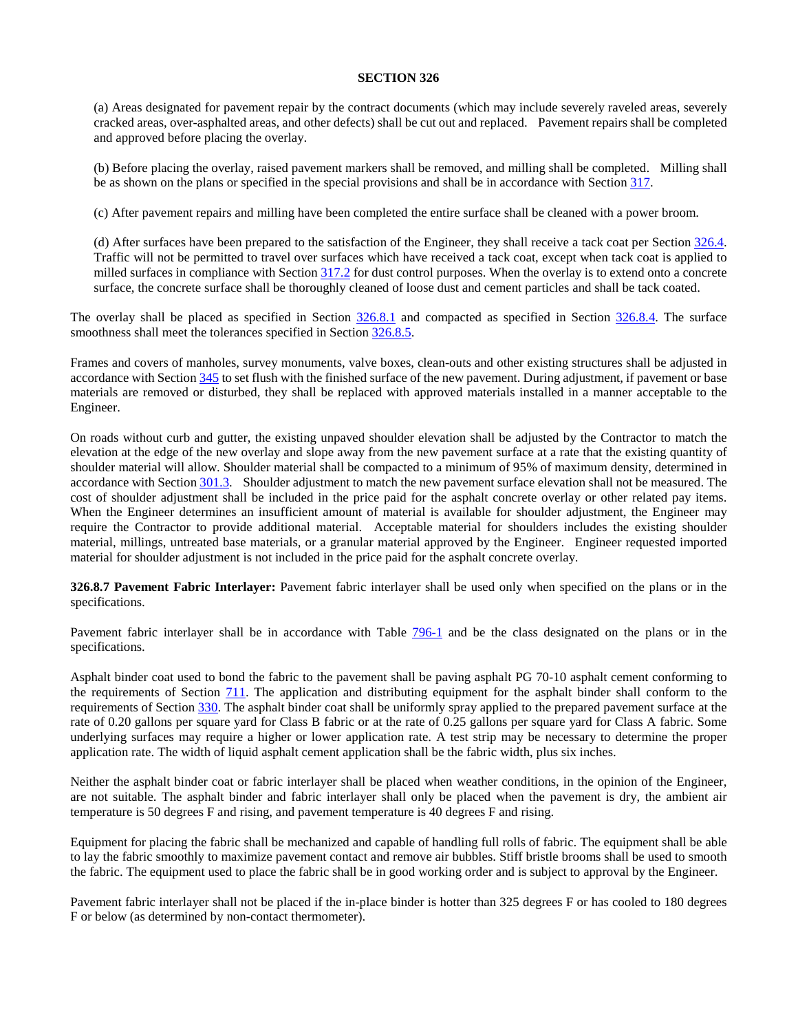(a) Areas designated for pavement repair by the contract documents (which may include severely raveled areas, severely cracked areas, over-asphalted areas, and other defects) shall be cut out and replaced. Pavement repairs shall be completed and approved before placing the overlay.

(b) Before placing the overlay, raised pavement markers shall be removed, and milling shall be completed. Milling shall be as shown on the plans or specified in the special provisions and shall be in accordance with Section 317.

(c) After pavement repairs and milling have been completed the entire surface shall be cleaned with a power broom.

(d) After surfaces have been prepared to the satisfaction of the Engineer, they shall receive a tack coat per Section [326.4.](#page-10-0)  Traffic will not be permitted to travel over surfaces which have received a tack coat, except when tack coat is applied to milled surfaces in compliance with Section 317.2 for dust control purposes. When the overlay is to extend onto a concrete surface, the concrete surface shall be thoroughly cleaned of loose dust and cement particles and shall be tack coated.

The overlay shall be placed as specified in Section [326.8.1](#page-5-0) and compacted as specified in Section [326.8.4.](#page-6-0) The surface smoothness shall meet the tolerances specified in Sectio[n 326.8.5.](#page-6-1)

Frames and covers of manholes, survey monuments, valve boxes, clean-outs and other existing structures shall be adjusted in accordance with Section 345 to set flush with the finished surface of the new pavement. During adjustment, if pavement or base materials are removed or disturbed, they shall be replaced with approved materials installed in a manner acceptable to the Engineer.

On roads without curb and gutter, the existing unpaved shoulder elevation shall be adjusted by the Contractor to match the elevation at the edge of the new overlay and slope away from the new pavement surface at a rate that the existing quantity of shoulder material will allow. Shoulder material shall be compacted to a minimum of 95% of maximum density, determined in accordance with Section 301.3. Shoulder adjustment to match the new pavement surface elevation shall not be measured. The cost of shoulder adjustment shall be included in the price paid for the asphalt concrete overlay or other related pay items. When the Engineer determines an insufficient amount of material is available for shoulder adjustment, the Engineer may require the Contractor to provide additional material. Acceptable material for shoulders includes the existing shoulder material, millings, untreated base materials, or a granular material approved by the Engineer. Engineer requested imported material for shoulder adjustment is not included in the price paid for the asphalt concrete overlay.

**326.8.7 Pavement Fabric Interlayer:** Pavement fabric interlayer shall be used only when specified on the plans or in the specifications.

Pavement fabric interlayer shall be in accordance with Table 796-1 and be the class designated on the plans or in the specifications.

Asphalt binder coat used to bond the fabric to the pavement shall be paving asphalt PG 70-10 asphalt cement conforming to the requirements of Section 711. The application and distributing equipment for the asphalt binder shall conform to the requirements of Section 330. The asphalt binder coat shall be uniformly spray applied to the prepared pavement surface at the rate of 0.20 gallons per square yard for Class B fabric or at the rate of 0.25 gallons per square yard for Class A fabric. Some underlying surfaces may require a higher or lower application rate. A test strip may be necessary to determine the proper application rate. The width of liquid asphalt cement application shall be the fabric width, plus six inches.

Neither the asphalt binder coat or fabric interlayer shall be placed when weather conditions, in the opinion of the Engineer, are not suitable. The asphalt binder and fabric interlayer shall only be placed when the pavement is dry, the ambient air temperature is 50 degrees F and rising, and pavement temperature is 40 degrees F and rising.

Equipment for placing the fabric shall be mechanized and capable of handling full rolls of fabric. The equipment shall be able to lay the fabric smoothly to maximize pavement contact and remove air bubbles. Stiff bristle brooms shall be used to smooth the fabric. The equipment used to place the fabric shall be in good working order and is subject to approval by the Engineer.

Pavement fabric interlayer shall not be placed if the in-place binder is hotter than 325 degrees F or has cooled to 180 degrees F or below (as determined by non-contact thermometer).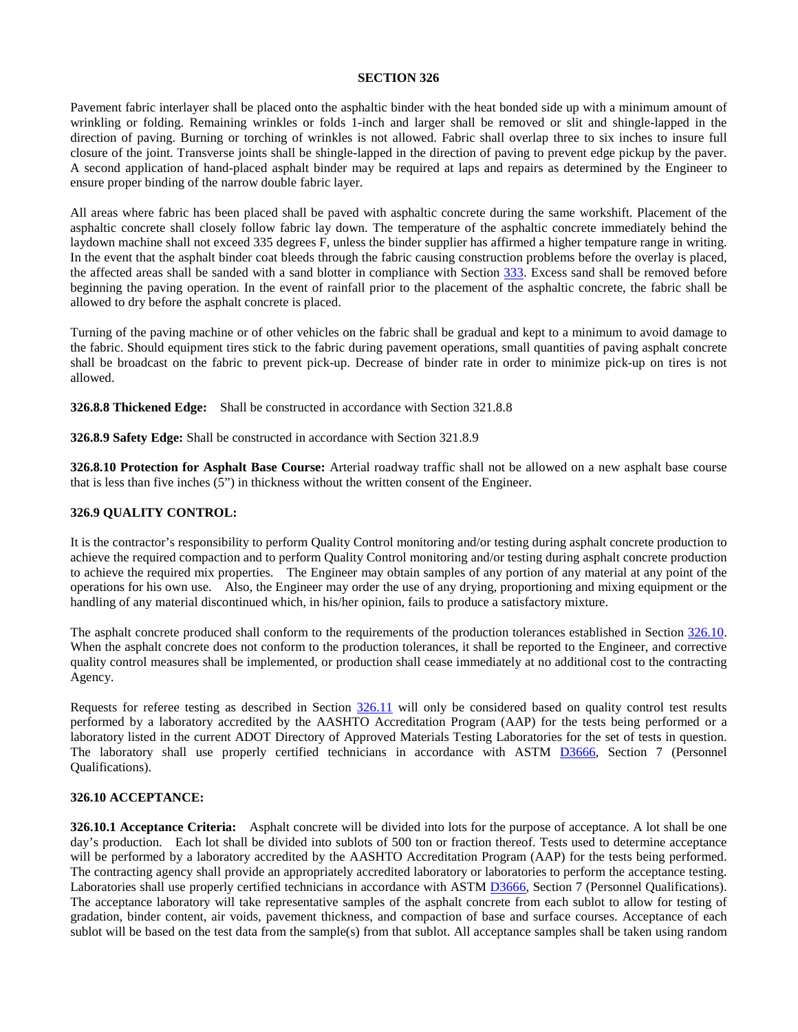Pavement fabric interlayer shall be placed onto the asphaltic binder with the heat bonded side up with a minimum amount of wrinkling or folding. Remaining wrinkles or folds 1-inch and larger shall be removed or slit and shingle-lapped in the direction of paving. Burning or torching of wrinkles is not allowed. Fabric shall overlap three to six inches to insure full closure of the joint. Transverse joints shall be shingle-lapped in the direction of paving to prevent edge pickup by the paver. A second application of hand-placed asphalt binder may be required at laps and repairs as determined by the Engineer to ensure proper binding of the narrow double fabric layer.

All areas where fabric has been placed shall be paved with asphaltic concrete during the same workshift. Placement of the asphaltic concrete shall closely follow fabric lay down. The temperature of the asphaltic concrete immediately behind the laydown machine shall not exceed 335 degrees F, unless the binder supplier has affirmed a higher tempature range in writing. In the event that the asphalt binder coat bleeds through the fabric causing construction problems before the overlay is placed, the affected areas shall be sanded with a sand blotter in compliance with Section 333. Excess sand shall be removed before beginning the paving operation. In the event of rainfall prior to the placement of the asphaltic concrete, the fabric shall be allowed to dry before the asphalt concrete is placed.

Turning of the paving machine or of other vehicles on the fabric shall be gradual and kept to a minimum to avoid damage to the fabric. Should equipment tires stick to the fabric during pavement operations, small quantities of paving asphalt concrete shall be broadcast on the fabric to prevent pick-up. Decrease of binder rate in order to minimize pick-up on tires is not allowed.

**326.8.8 Thickened Edge:** Shall be constructed in accordance with Section 321.8.8

**326.8.9 Safety Edge:** Shall be constructed in accordance with Section 321.8.9

**326.8.10 Protection for Asphalt Base Course:** Arterial roadway traffic shall not be allowed on a new asphalt base course that is less than five inches (5") in thickness without the written consent of the Engineer.

## **326.9 QUALITY CONTROL:**

It is the contractor's responsibility to perform Quality Control monitoring and/or testing during asphalt concrete production to achieve the required compaction and to perform Quality Control monitoring and/or testing during asphalt concrete production to achieve the required mix properties. The Engineer may obtain samples of any portion of any material at any point of the operations for his own use. Also, the Engineer may order the use of any drying, proportioning and mixing equipment or the handling of any material discontinued which, in his/her opinion, fails to produce a satisfactory mixture.

The asphalt concrete produced shall conform to the requirements of the production tolerances established in Section [326.10.](#page-8-0) When the asphalt concrete does not conform to the production tolerances, it shall be reported to the Engineer, and corrective quality control measures shall be implemented, or production shall cease immediately at no additional cost to the contracting Agency.

Requests for referee testing as described in Section [326.11](#page-14-0) will only be considered based on quality control test results performed by a laboratory accredited by the AASHTO Accreditation Program (AAP) for the tests being performed or a laboratory listed in the current ADOT Directory of Approved Materials Testing Laboratories for the set of tests in question. The laboratory shall use properly certified technicians in accordance with ASTM [D3666,](http://www.astm.org/cgi-bin/resolver.cgi?D3666) Section 7 (Personnel Qualifications).

### <span id="page-8-0"></span>**326.10 ACCEPTANCE:**

<span id="page-8-1"></span>**326.10.1 Acceptance Criteria:** Asphalt concrete will be divided into lots for the purpose of acceptance. A lot shall be one day's production. Each lot shall be divided into sublots of 500 ton or fraction thereof. Tests used to determine acceptance will be performed by a laboratory accredited by the AASHTO Accreditation Program (AAP) for the tests being performed. The contracting agency shall provide an appropriately accredited laboratory or laboratories to perform the acceptance testing. Laboratories shall use properly certified technicians in accordance with ASTM [D3666,](http://www.astm.org/cgi-bin/resolver.cgi?D3666) Section 7 (Personnel Qualifications). The acceptance laboratory will take representative samples of the asphalt concrete from each sublot to allow for testing of gradation, binder content, air voids, pavement thickness, and compaction of base and surface courses. Acceptance of each sublot will be based on the test data from the sample(s) from that sublot. All acceptance samples shall be taken using random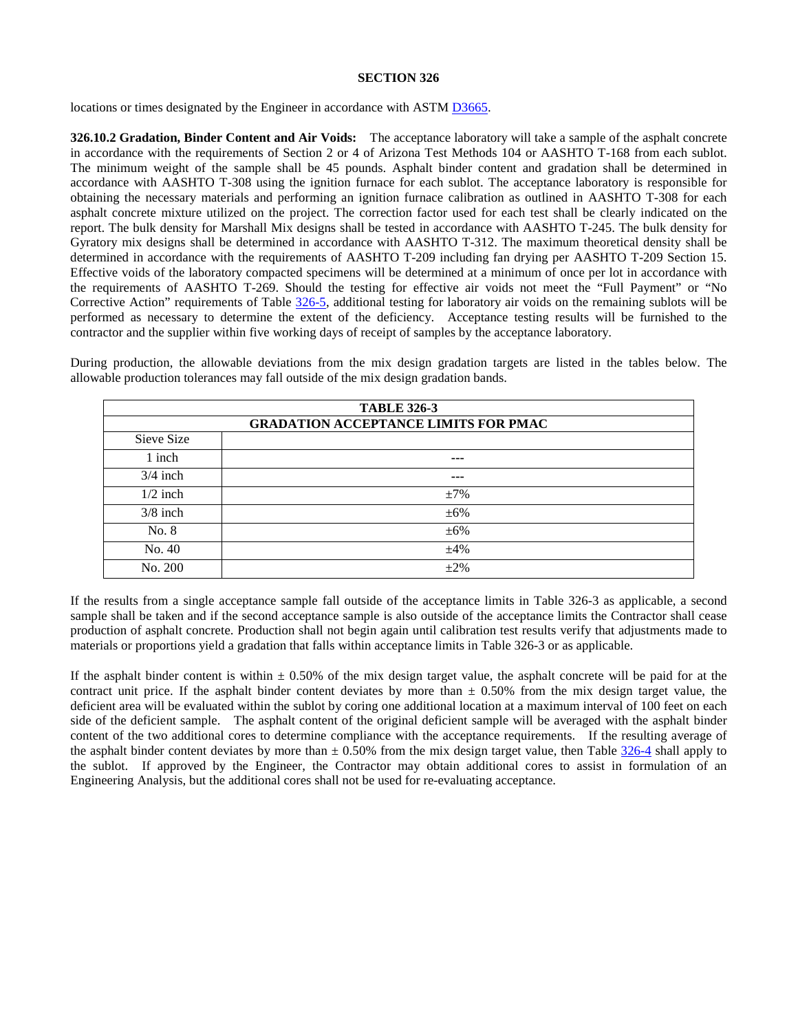locations or times designated by the Engineer in accordance with ASTM [D3665.](http://www.astm.org/cgi-bin/resolver.cgi?D3665)

**326.10.2 Gradation, Binder Content and Air Voids:** The acceptance laboratory will take a sample of the asphalt concrete in accordance with the requirements of Section 2 or 4 of Arizona Test Methods 104 or AASHTO T-168 from each sublot. The minimum weight of the sample shall be 45 pounds. Asphalt binder content and gradation shall be determined in accordance with AASHTO T-308 using the ignition furnace for each sublot. The acceptance laboratory is responsible for obtaining the necessary materials and performing an ignition furnace calibration as outlined in AASHTO T-308 for each asphalt concrete mixture utilized on the project. The correction factor used for each test shall be clearly indicated on the report. The bulk density for Marshall Mix designs shall be tested in accordance with AASHTO T-245. The bulk density for Gyratory mix designs shall be determined in accordance with AASHTO T-312. The maximum theoretical density shall be determined in accordance with the requirements of AASHTO T-209 including fan drying per AASHTO T-209 Section 15. Effective voids of the laboratory compacted specimens will be determined at a minimum of once per lot in accordance with the requirements of AASHTO T-269. Should the testing for effective air voids not meet the "Full Payment" or "No Corrective Action" requirements of Table [326-5,](#page-10-1) additional testing for laboratory air voids on the remaining sublots will be performed as necessary to determine the extent of the deficiency. Acceptance testing results will be furnished to the contractor and the supplier within five working days of receipt of samples by the acceptance laboratory.

|            | <b>TABLE 326-3</b>                          |  |  |
|------------|---------------------------------------------|--|--|
|            | <b>GRADATION ACCEPTANCE LIMITS FOR PMAC</b> |  |  |
| Sieve Size |                                             |  |  |
| 1 inch     | ---                                         |  |  |
| $3/4$ inch | ---                                         |  |  |
| $1/2$ inch | $\pm 7\%$                                   |  |  |
| $3/8$ inch | $\pm 6\%$                                   |  |  |
| No. 8      | $\pm 6\%$                                   |  |  |
| No. 40     | $\pm 4\%$                                   |  |  |
| No. 200    | $\pm 2\%$                                   |  |  |

During production, the allowable deviations from the mix design gradation targets are listed in the tables below. The allowable production tolerances may fall outside of the mix design gradation bands.

If the results from a single acceptance sample fall outside of the acceptance limits in Table 326-3 as applicable, a second sample shall be taken and if the second acceptance sample is also outside of the acceptance limits the Contractor shall cease production of asphalt concrete. Production shall not begin again until calibration test results verify that adjustments made to materials or proportions yield a gradation that falls within acceptance limits in Table 326-3 or as applicable.

If the asphalt binder content is within  $\pm 0.50\%$  of the mix design target value, the asphalt concrete will be paid for at the contract unit price. If the asphalt binder content deviates by more than  $\pm$  0.50% from the mix design target value, the deficient area will be evaluated within the sublot by coring one additional location at a maximum interval of 100 feet on each side of the deficient sample. The asphalt content of the original deficient sample will be averaged with the asphalt binder content of the two additional cores to determine compliance with the acceptance requirements. If the resulting average of the asphalt binder content deviates by more than  $\pm$  0.50% from the mix design target value, then Table [326-4](#page-10-0) shall apply to the sublot. If approved by the Engineer, the Contractor may obtain additional cores to assist in formulation of an Engineering Analysis, but the additional cores shall not be used for re-evaluating acceptance.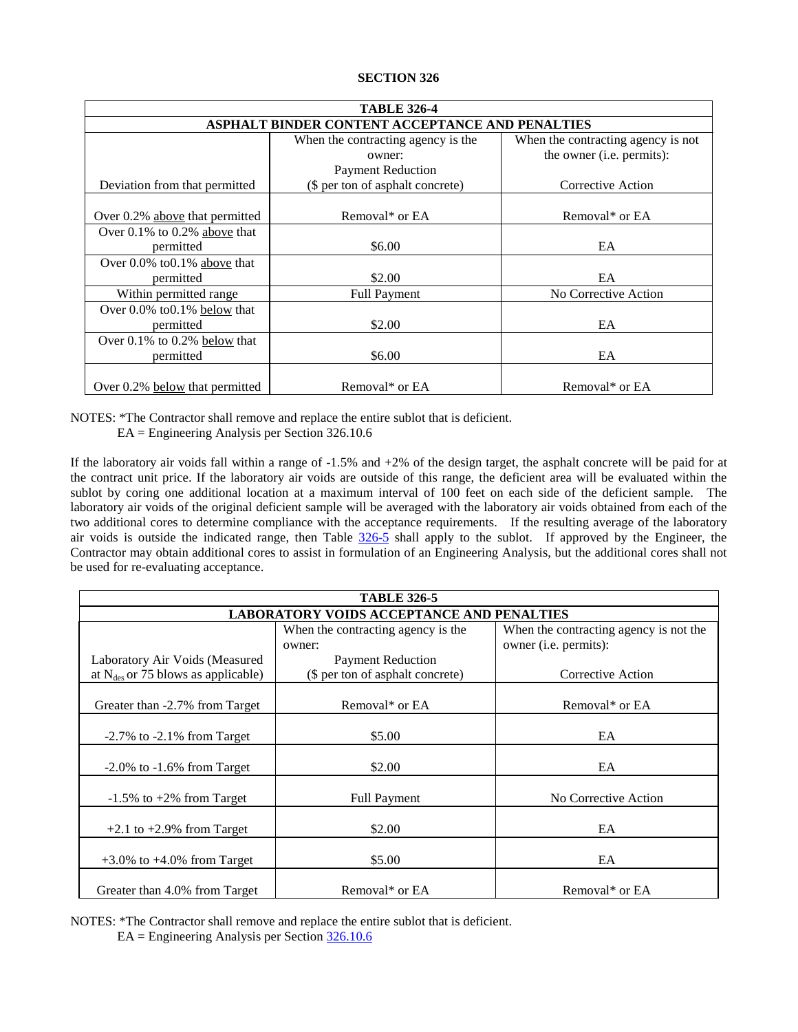<span id="page-10-0"></span>

| <b>TABLE 326-4</b>                              |                                    |                                    |  |
|-------------------------------------------------|------------------------------------|------------------------------------|--|
| ASPHALT BINDER CONTENT ACCEPTANCE AND PENALTIES |                                    |                                    |  |
|                                                 | When the contracting agency is the | When the contracting agency is not |  |
|                                                 | owner:                             | the owner (i.e. permits):          |  |
|                                                 | <b>Payment Reduction</b>           |                                    |  |
| Deviation from that permitted                   | (\$ per ton of asphalt concrete)   | Corrective Action                  |  |
|                                                 |                                    |                                    |  |
| Over 0.2% above that permitted                  | Removal* or EA                     | Removal* or EA                     |  |
| Over $0.1\%$ to $0.2\%$ above that              |                                    |                                    |  |
| permitted                                       | \$6.00                             | EA                                 |  |
| Over 0.0% to 0.1% above that                    |                                    |                                    |  |
| permitted                                       | \$2.00                             | EA                                 |  |
| Within permitted range                          | <b>Full Payment</b>                | No Corrective Action               |  |
| Over $0.0\%$ to $0.1\%$ below that              |                                    |                                    |  |
| permitted                                       | \$2.00                             | EA                                 |  |
| Over $0.1\%$ to $0.2\%$ below that              |                                    |                                    |  |
| permitted                                       | \$6.00                             | EA                                 |  |
|                                                 |                                    |                                    |  |
| Over 0.2% below that permitted                  | Removal* or EA                     | Removal* or EA                     |  |

NOTES: \*The Contractor shall remove and replace the entire sublot that is deficient.

EA = Engineering Analysis per Section 326.10.6

If the laboratory air voids fall within a range of -1.5% and +2% of the design target, the asphalt concrete will be paid for at the contract unit price. If the laboratory air voids are outside of this range, the deficient area will be evaluated within the sublot by coring one additional location at a maximum interval of 100 feet on each side of the deficient sample. The laboratory air voids of the original deficient sample will be averaged with the laboratory air voids obtained from each of the two additional cores to determine compliance with the acceptance requirements. If the resulting average of the laboratory air voids is outside the indicated range, then Table [326-5](#page-10-1) shall apply to the sublot. If approved by the Engineer, the Contractor may obtain additional cores to assist in formulation of an Engineering Analysis, but the additional cores shall not be used for re-evaluating acceptance.

<span id="page-10-1"></span>

| <b>TABLE 326-5</b>                               |                                    |                                        |
|--------------------------------------------------|------------------------------------|----------------------------------------|
| <b>LABORATORY VOIDS ACCEPTANCE AND PENALTIES</b> |                                    |                                        |
|                                                  | When the contracting agency is the | When the contracting agency is not the |
|                                                  | owner:                             | owner (i.e. permits):                  |
| Laboratory Air Voids (Measured                   | <b>Payment Reduction</b>           |                                        |
| at $N_{\text{des}}$ or 75 blows as applicable)   | (\$ per ton of asphalt concrete)   | Corrective Action                      |
|                                                  |                                    |                                        |
| Greater than -2.7% from Target                   | Removal* or EA                     | Removal* or EA                         |
| $-2.7\%$ to $-2.1\%$ from Target                 | \$5.00                             | EA                                     |
| $-2.0\%$ to $-1.6\%$ from Target                 | \$2.00                             | EA                                     |
| $-1.5\%$ to $+2\%$ from Target                   | <b>Full Payment</b>                | No Corrective Action                   |
| $+2.1$ to $+2.9\%$ from Target                   | \$2.00                             | EA                                     |
| $+3.0\%$ to $+4.0\%$ from Target                 | \$5.00                             | EA                                     |
| Greater than 4.0% from Target                    | Removal* or EA                     | Removal* or EA                         |

NOTES: \*The Contractor shall remove and replace the entire sublot that is deficient.

EA = Engineering Analysis per Sectio[n 326.10.6](#page-13-0)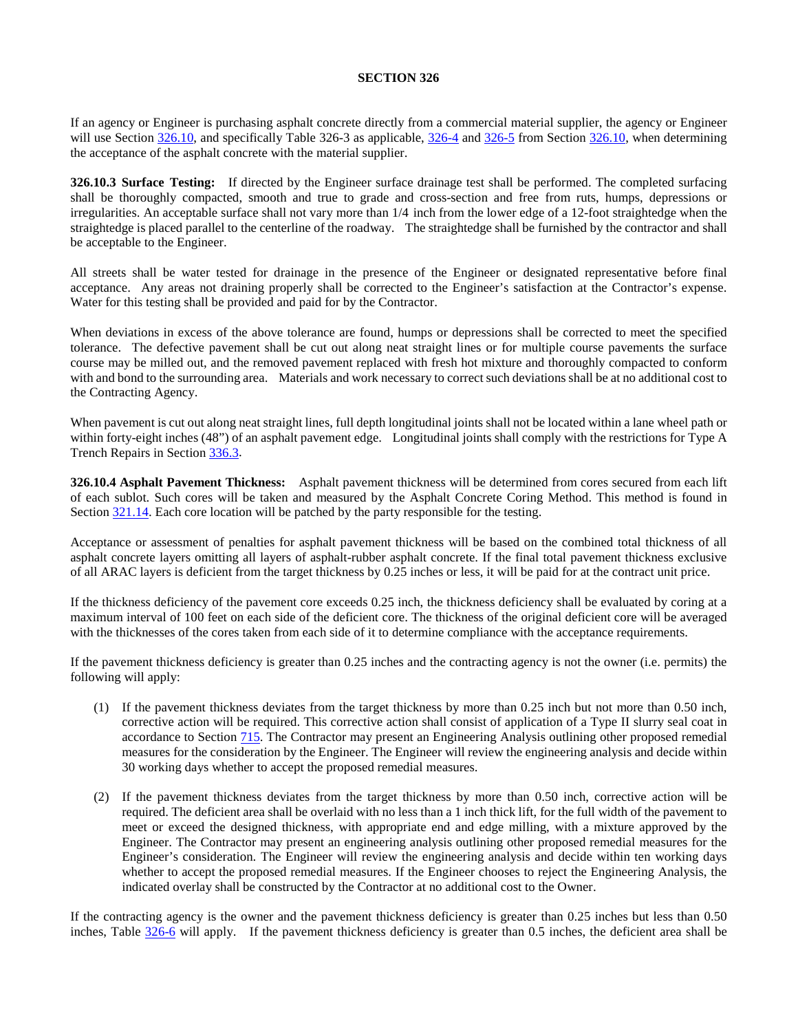If an agency or Engineer is purchasing asphalt concrete directly from a commercial material supplier, the agency or Engineer will use Section [326.10,](#page-8-0) and specifically Table 326-3 as applicable, [326-4](#page-10-0) an[d 326-5](#page-10-1) from Section 326.10, when determining the acceptance of the asphalt concrete with the material supplier.

**326.10.3 Surface Testing:** If directed by the Engineer surface drainage test shall be performed. The completed surfacing shall be thoroughly compacted, smooth and true to grade and cross-section and free from ruts, humps, depressions or irregularities. An acceptable surface shall not vary more than 1/4 inch from the lower edge of a 12-foot straightedge when the straightedge is placed parallel to the centerline of the roadway. The straightedge shall be furnished by the contractor and shall be acceptable to the Engineer.

All streets shall be water tested for drainage in the presence of the Engineer or designated representative before final acceptance. Any areas not draining properly shall be corrected to the Engineer's satisfaction at the Contractor's expense. Water for this testing shall be provided and paid for by the Contractor.

When deviations in excess of the above tolerance are found, humps or depressions shall be corrected to meet the specified tolerance. The defective pavement shall be cut out along neat straight lines or for multiple course pavements the surface course may be milled out, and the removed pavement replaced with fresh hot mixture and thoroughly compacted to conform with and bond to the surrounding area. Materials and work necessary to correct such deviations shall be at no additional cost to the Contracting Agency.

When pavement is cut out along neat straight lines, full depth longitudinal joints shall not be located within a lane wheel path or within forty-eight inches (48") of an asphalt pavement edge. Longitudinal joints shall comply with the restrictions for Type A Trench Repairs in Section 336.3.

**326.10.4 Asphalt Pavement Thickness:** Asphalt pavement thickness will be determined from cores secured from each lift of each sublot. Such cores will be taken and measured by the Asphalt Concrete Coring Method. This method is found in Section 321.14. Each core location will be patched by the party responsible for the testing.

Acceptance or assessment of penalties for asphalt pavement thickness will be based on the combined total thickness of all asphalt concrete layers omitting all layers of asphalt-rubber asphalt concrete. If the final total pavement thickness exclusive of all ARAC layers is deficient from the target thickness by 0.25 inches or less, it will be paid for at the contract unit price.

If the thickness deficiency of the pavement core exceeds 0.25 inch, the thickness deficiency shall be evaluated by coring at a maximum interval of 100 feet on each side of the deficient core. The thickness of the original deficient core will be averaged with the thicknesses of the cores taken from each side of it to determine compliance with the acceptance requirements.

If the pavement thickness deficiency is greater than 0.25 inches and the contracting agency is not the owner (i.e. permits) the following will apply:

- (1) If the pavement thickness deviates from the target thickness by more than 0.25 inch but not more than 0.50 inch, corrective action will be required. This corrective action shall consist of application of a Type II slurry seal coat in accordance to Section 715. The Contractor may present an Engineering Analysis outlining other proposed remedial measures for the consideration by the Engineer. The Engineer will review the engineering analysis and decide within 30 working days whether to accept the proposed remedial measures.
- (2) If the pavement thickness deviates from the target thickness by more than 0.50 inch, corrective action will be required. The deficient area shall be overlaid with no less than a 1 inch thick lift, for the full width of the pavement to meet or exceed the designed thickness, with appropriate end and edge milling, with a mixture approved by the Engineer. The Contractor may present an engineering analysis outlining other proposed remedial measures for the Engineer's consideration. The Engineer will review the engineering analysis and decide within ten working days whether to accept the proposed remedial measures. If the Engineer chooses to reject the Engineering Analysis, the indicated overlay shall be constructed by the Contractor at no additional cost to the Owner.

If the contracting agency is the owner and the pavement thickness deficiency is greater than 0.25 inches but less than 0.50 inches, Table [326-6](#page-12-0) will apply. If the pavement thickness deficiency is greater than 0.5 inches, the deficient area shall be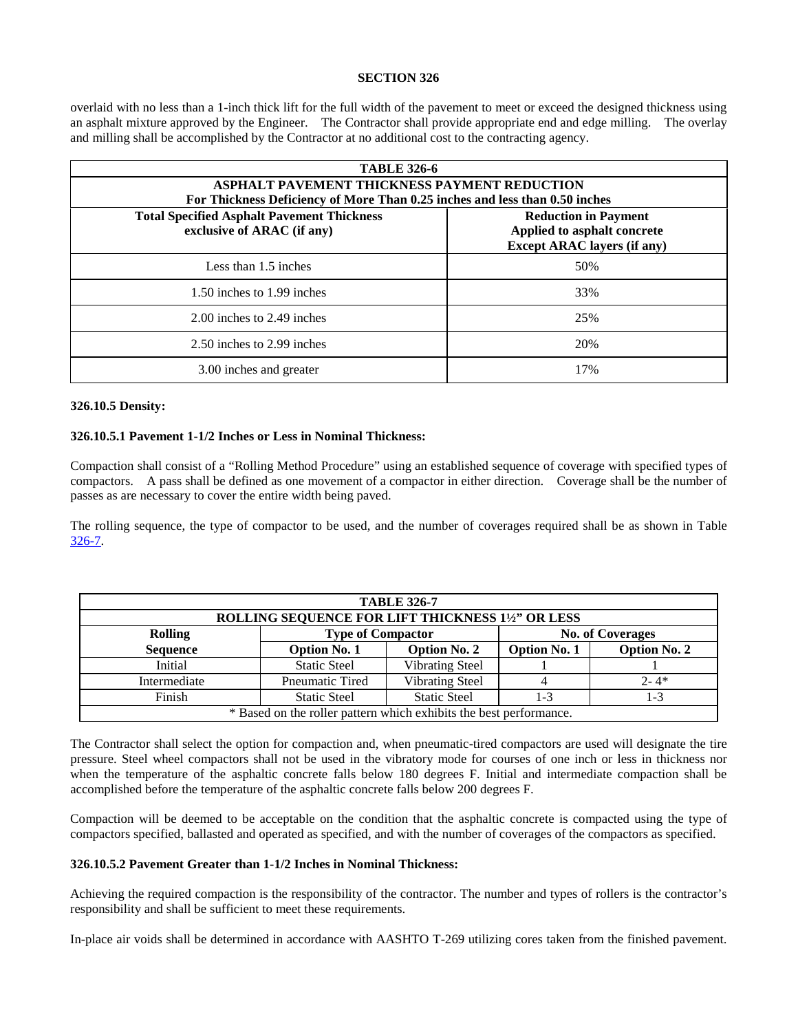overlaid with no less than a 1-inch thick lift for the full width of the pavement to meet or exceed the designed thickness using an asphalt mixture approved by the Engineer. The Contractor shall provide appropriate end and edge milling. The overlay and milling shall be accomplished by the Contractor at no additional cost to the contracting agency.

<span id="page-12-0"></span>

| <b>TABLE 326-6</b>                                                                                                               |                                                                   |  |
|----------------------------------------------------------------------------------------------------------------------------------|-------------------------------------------------------------------|--|
| ASPHALT PAVEMENT THICKNESS PAYMENT REDUCTION                                                                                     |                                                                   |  |
| For Thickness Deficiency of More Than 0.25 inches and less than 0.50 inches<br><b>Total Specified Asphalt Pavement Thickness</b> | <b>Reduction in Payment</b>                                       |  |
| exclusive of ARAC (if any)                                                                                                       | Applied to asphalt concrete<br><b>Except ARAC layers (if any)</b> |  |
| Less than 1.5 inches                                                                                                             | 50%                                                               |  |
| 1.50 inches to 1.99 inches                                                                                                       | 33%                                                               |  |
| 2.00 inches to 2.49 inches                                                                                                       | 25%                                                               |  |
| 2.50 inches to 2.99 inches                                                                                                       | 20%                                                               |  |
| 3.00 inches and greater                                                                                                          | 17%                                                               |  |

#### **326.10.5 Density:**

#### **326.10.5.1 Pavement 1-1/2 Inches or Less in Nominal Thickness:**

Compaction shall consist of a "Rolling Method Procedure" using an established sequence of coverage with specified types of compactors. A pass shall be defined as one movement of a compactor in either direction. Coverage shall be the number of passes as are necessary to cover the entire width being paved.

The rolling sequence, the type of compactor to be used, and the number of coverages required shall be as shown in Table [326-7.](#page-12-1)

<span id="page-12-1"></span>

| <b>TABLE 326-7</b><br>ROLLING SEQUENCE FOR LIFT THICKNESS 11/2" OR LESS |                                                     |                        |                     |                     |
|-------------------------------------------------------------------------|-----------------------------------------------------|------------------------|---------------------|---------------------|
| <b>Rolling</b>                                                          | <b>Type of Compactor</b><br><b>No. of Coverages</b> |                        |                     |                     |
| <b>Sequence</b>                                                         | <b>Option No. 1</b>                                 | <b>Option No. 2</b>    | <b>Option No. 1</b> | <b>Option No. 2</b> |
| Initial                                                                 | <b>Static Steel</b>                                 | <b>Vibrating Steel</b> |                     |                     |
| Intermediate                                                            | <b>Pneumatic Tired</b>                              | <b>Vibrating Steel</b> |                     | $2 - 4*$            |
| Finish                                                                  | <b>Static Steel</b>                                 | <b>Static Steel</b>    | $1 - 3$             | $1 - 3$             |
| * Based on the roller pattern which exhibits the best performance.      |                                                     |                        |                     |                     |

The Contractor shall select the option for compaction and, when pneumatic-tired compactors are used will designate the tire pressure. Steel wheel compactors shall not be used in the vibratory mode for courses of one inch or less in thickness nor when the temperature of the asphaltic concrete falls below 180 degrees F. Initial and intermediate compaction shall be accomplished before the temperature of the asphaltic concrete falls below 200 degrees F.

Compaction will be deemed to be acceptable on the condition that the asphaltic concrete is compacted using the type of compactors specified, ballasted and operated as specified, and with the number of coverages of the compactors as specified.

#### **326.10.5.2 Pavement Greater than 1-1/2 Inches in Nominal Thickness:**

Achieving the required compaction is the responsibility of the contractor. The number and types of rollers is the contractor's responsibility and shall be sufficient to meet these requirements.

In-place air voids shall be determined in accordance with AASHTO T-269 utilizing cores taken from the finished pavement.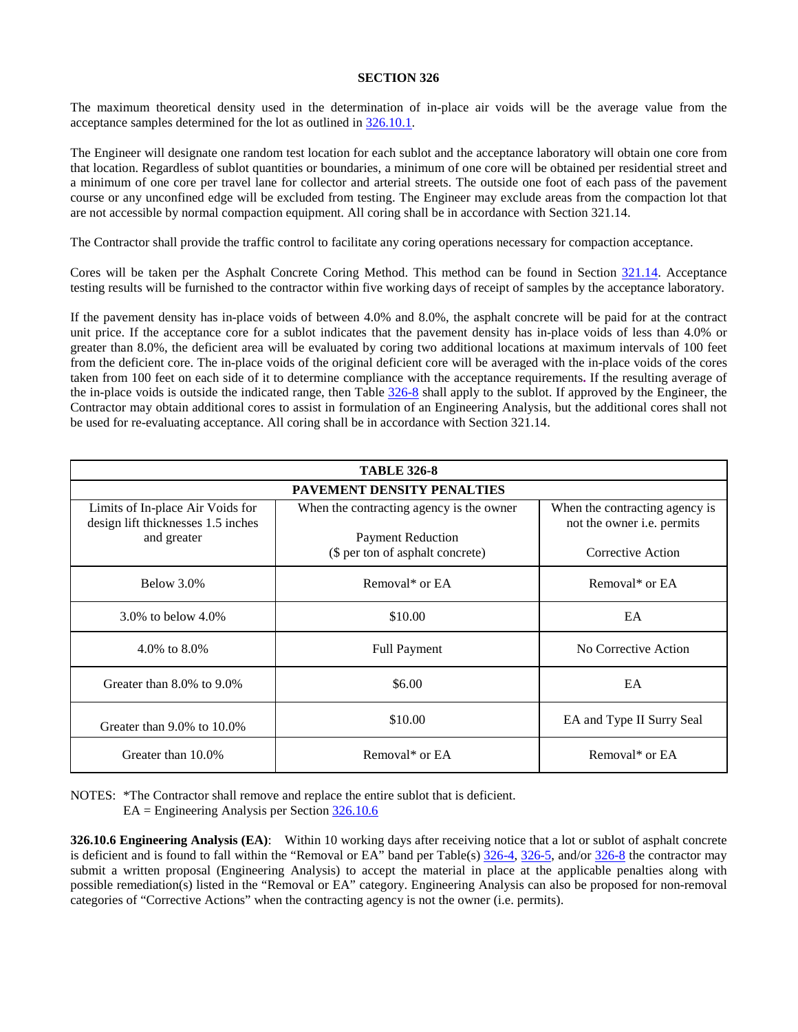The maximum theoretical density used in the determination of in-place air voids will be the average value from the acceptance samples determined for the lot as outlined in [326.10.1.](#page-8-1)

The Engineer will designate one random test location for each sublot and the acceptance laboratory will obtain one core from that location. Regardless of sublot quantities or boundaries, a minimum of one core will be obtained per residential street and a minimum of one core per travel lane for collector and arterial streets. The outside one foot of each pass of the pavement course or any unconfined edge will be excluded from testing. The Engineer may exclude areas from the compaction lot that are not accessible by normal compaction equipment. All coring shall be in accordance with Section 321.14.

The Contractor shall provide the traffic control to facilitate any coring operations necessary for compaction acceptance.

Cores will be taken per the Asphalt Concrete Coring Method. This method can be found in Section 321.14. Acceptance testing results will be furnished to the contractor within five working days of receipt of samples by the acceptance laboratory.

If the pavement density has in-place voids of between 4.0% and 8.0%, the asphalt concrete will be paid for at the contract unit price. If the acceptance core for a sublot indicates that the pavement density has in-place voids of less than 4.0% or greater than 8.0%, the deficient area will be evaluated by coring two additional locations at maximum intervals of 100 feet from the deficient core. The in-place voids of the original deficient core will be averaged with the in-place voids of the cores taken from 100 feet on each side of it to determine compliance with the acceptance requirements**.** If the resulting average of the in-place voids is outside the indicated range, then Table  $326-8$  shall apply to the sublot. If approved by the Engineer, the Contractor may obtain additional cores to assist in formulation of an Engineering Analysis, but the additional cores shall not be used for re-evaluating acceptance. All coring shall be in accordance with Section 321.14.

<span id="page-13-1"></span>

| <b>TABLE 326-8</b>                                                     |                                          |                                                              |  |
|------------------------------------------------------------------------|------------------------------------------|--------------------------------------------------------------|--|
| <b>PAVEMENT DENSITY PENALTIES</b>                                      |                                          |                                                              |  |
| Limits of In-place Air Voids for<br>design lift thicknesses 1.5 inches | When the contracting agency is the owner | When the contracting agency is<br>not the owner i.e. permits |  |
| and greater                                                            | <b>Payment Reduction</b>                 |                                                              |  |
|                                                                        | (\$ per ton of asphalt concrete)         | Corrective Action                                            |  |
| Below 3.0%                                                             | Removal* or EA                           | Removal* or EA                                               |  |
| 3.0\% to below $4.0\%$                                                 | \$10.00                                  | EA                                                           |  |
| 4.0% to 8.0%                                                           | <b>Full Payment</b>                      | No Corrective Action                                         |  |
| Greater than $8.0\%$ to $9.0\%$                                        | \$6.00                                   | EA                                                           |  |
| Greater than 9.0% to 10.0%                                             | \$10.00                                  | EA and Type II Surry Seal                                    |  |
| Greater than 10.0%                                                     | Removal* or EA                           | Removal* or EA                                               |  |

NOTES: \*The Contractor shall remove and replace the entire sublot that is deficient.

EA = Engineering Analysis per Section [326.10.6](#page-13-0)

<span id="page-13-0"></span>**326.10.6 Engineering Analysis (EA)**: Within 10 working days after receiving notice that a lot or sublot of asphalt concrete is deficient and is found to fall within the "Removal or EA" band per Table(s) [326-4,](#page-10-0) [326-5,](#page-10-1) and/or [326-8](#page-13-1) the contractor may submit a written proposal (Engineering Analysis) to accept the material in place at the applicable penalties along with possible remediation(s) listed in the "Removal or EA" category. Engineering Analysis can also be proposed for non-removal categories of "Corrective Actions" when the contracting agency is not the owner (i.e. permits).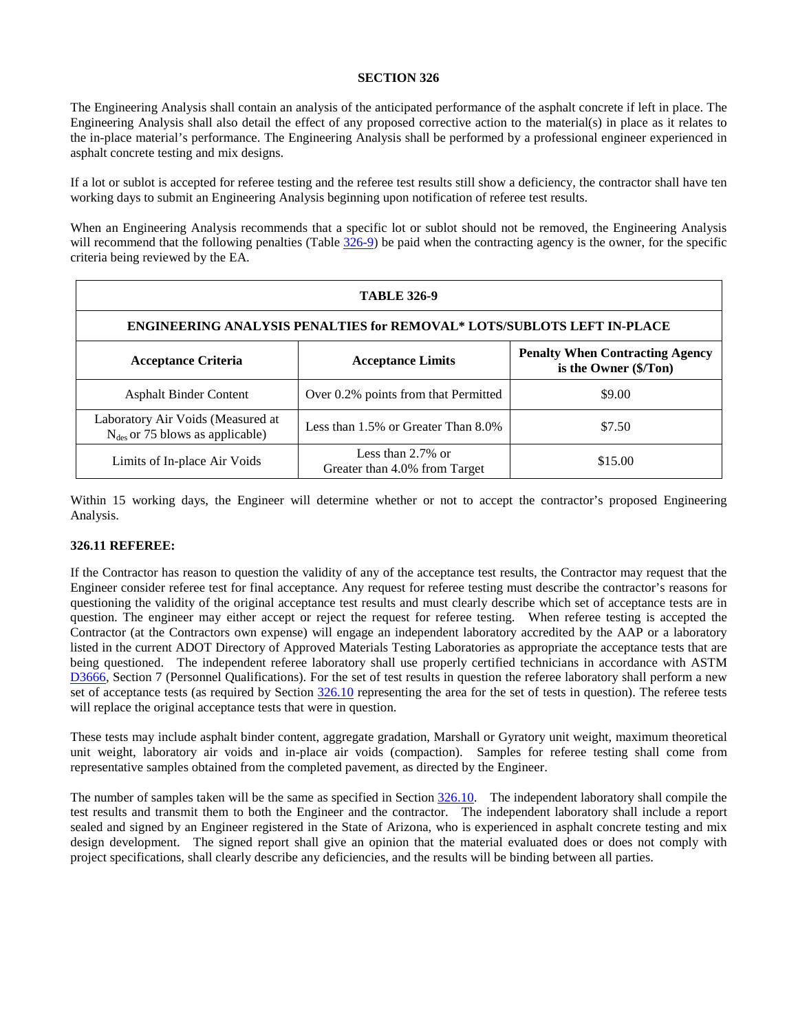The Engineering Analysis shall contain an analysis of the anticipated performance of the asphalt concrete if left in place. The Engineering Analysis shall also detail the effect of any proposed corrective action to the material(s) in place as it relates to the in-place material's performance. The Engineering Analysis shall be performed by a professional engineer experienced in asphalt concrete testing and mix designs.

If a lot or sublot is accepted for referee testing and the referee test results still show a deficiency, the contractor shall have ten working days to submit an Engineering Analysis beginning upon notification of referee test results.

When an Engineering Analysis recommends that a specific lot or sublot should not be removed, the Engineering Analysis will recommend that the following penalties (Table [326-9\)](#page-14-1) be paid when the contracting agency is the owner, for the specific criteria being reviewed by the EA.

<span id="page-14-1"></span>

| <b>TABLE 326-9</b>                                                                                                        |                                                       |         |  |
|---------------------------------------------------------------------------------------------------------------------------|-------------------------------------------------------|---------|--|
| <b>ENGINEERING ANALYSIS PENALTIES for REMOVAL* LOTS/SUBLOTS LEFT IN-PLACE</b>                                             |                                                       |         |  |
| <b>Penalty When Contracting Agency</b><br><b>Acceptance Criteria</b><br><b>Acceptance Limits</b><br>is the Owner (\$/Ton) |                                                       |         |  |
| <b>Asphalt Binder Content</b>                                                                                             | Over 0.2% points from that Permitted                  | \$9.00  |  |
| Laboratory Air Voids (Measured at<br>$N_{des}$ or 75 blows as applicable)                                                 | Less than $1.5\%$ or Greater Than $8.0\%$             | \$7.50  |  |
| Limits of In-place Air Voids                                                                                              | Less than $2.7\%$ or<br>Greater than 4.0% from Target | \$15.00 |  |

Within 15 working days, the Engineer will determine whether or not to accept the contractor's proposed Engineering Analysis.

# <span id="page-14-0"></span>**326.11 REFEREE:**

If the Contractor has reason to question the validity of any of the acceptance test results, the Contractor may request that the Engineer consider referee test for final acceptance. Any request for referee testing must describe the contractor's reasons for questioning the validity of the original acceptance test results and must clearly describe which set of acceptance tests are in question. The engineer may either accept or reject the request for referee testing. When referee testing is accepted the Contractor (at the Contractors own expense) will engage an independent laboratory accredited by the AAP or a laboratory listed in the current ADOT Directory of Approved Materials Testing Laboratories as appropriate the acceptance tests that are being questioned. The independent referee laboratory shall use properly certified technicians in accordance with ASTM [D3666,](http://www.astm.org/cgi-bin/resolver.cgi?D3666) Section 7 (Personnel Qualifications). For the set of test results in question the referee laboratory shall perform a new set of acceptance tests (as required by Section  $326.10$  representing the area for the set of tests in question). The referee tests will replace the original acceptance tests that were in question.

These tests may include asphalt binder content, aggregate gradation, Marshall or Gyratory unit weight, maximum theoretical unit weight, laboratory air voids and in-place air voids (compaction). Samples for referee testing shall come from representative samples obtained from the completed pavement, as directed by the Engineer.

The number of samples taken will be the same as specified in Section [326.10.](#page-8-0) The independent laboratory shall compile the test results and transmit them to both the Engineer and the contractor. The independent laboratory shall include a report sealed and signed by an Engineer registered in the State of Arizona, who is experienced in asphalt concrete testing and mix design development. The signed report shall give an opinion that the material evaluated does or does not comply with project specifications, shall clearly describe any deficiencies, and the results will be binding between all parties.